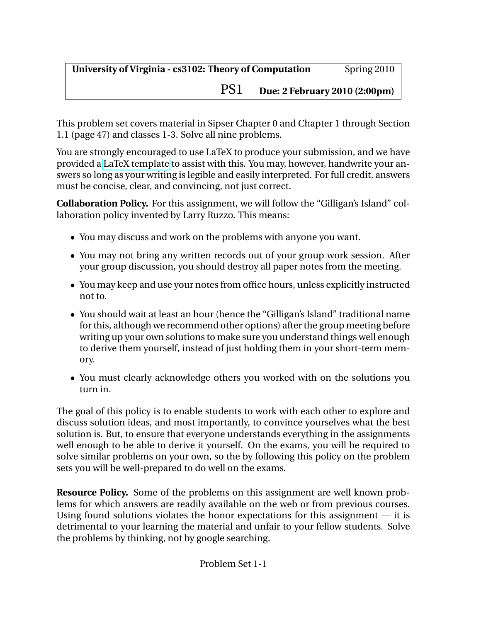PS1 **Due: 2 February 2010 (2:00pm)**

This problem set covers material in Sipser Chapter 0 and Chapter 1 through Section 1.1 (page 47) and classes 1-3. Solve all nine problems.

You are strongly encouraged to use LaTeX to produce your submission, and we have provided a [LaTeX template](http://www.cs.virginia.edu/cs3102/ps/ps1/ps1-template.tex) to assist with this. You may, however, handwrite your answers so long as your writing is legible and easily interpreted. For full credit, answers must be concise, clear, and convincing, not just correct.

**Collaboration Policy.** For this assignment, we will follow the "Gilligan's Island" collaboration policy invented by Larry Ruzzo. This means:

- You may discuss and work on the problems with anyone you want.
- You may not bring any written records out of your group work session. After your group discussion, you should destroy all paper notes from the meeting.
- You may keep and use your notes from office hours, unless explicitly instructed not to.
- You should wait at least an hour (hence the "Gilligan's Island" traditional name for this, although we recommend other options) after the group meeting before writing up your own solutions to make sure you understand things well enough to derive them yourself, instead of just holding them in your short-term memory.
- You must clearly acknowledge others you worked with on the solutions you turn in.

The goal of this policy is to enable students to work with each other to explore and discuss solution ideas, and most importantly, to convince yourselves what the best solution is. But, to ensure that everyone understands everything in the assignments well enough to be able to derive it yourself. On the exams, you will be required to solve similar problems on your own, so the by following this policy on the problem sets you will be well-prepared to do well on the exams.

**Resource Policy.** Some of the problems on this assignment are well known problems for which answers are readily available on the web or from previous courses. Using found solutions violates the honor expectations for this assignment — it is detrimental to your learning the material and unfair to your fellow students. Solve the problems by thinking, not by google searching.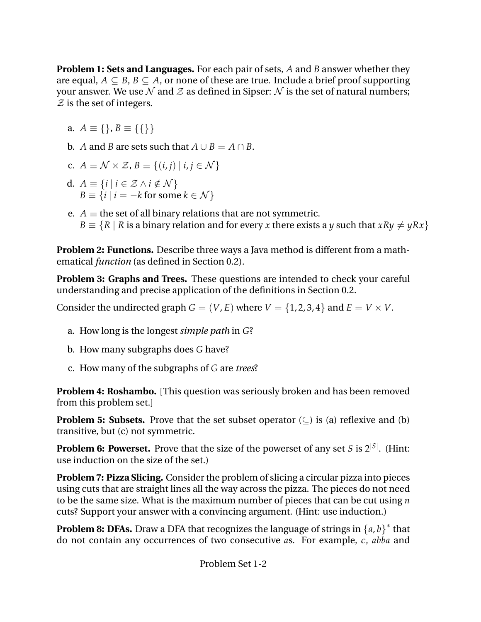**Problem 1: Sets and Languages.** For each pair of sets, *A* and *B* answer whether they are equal,  $A \subseteq B$ ,  $B \subseteq A$ , or none of these are true. Include a brief proof supporting your answer. We use  $\mathcal N$  and  $\mathcal Z$  as defined in Sipser:  $\mathcal N$  is the set of natural numbers;  $\mathcal Z$  is the set of integers.

a.  $A \equiv \{\}, B \equiv \{\{\}\}\$ 

**b.** *A* and *B* are sets such that  $A \cup B = A \cap B$ .

c. 
$$
A \equiv \mathcal{N} \times \mathcal{Z}, B \equiv \{(i,j) | i,j \in \mathcal{N}\}\
$$

- d.  $A \equiv \{i \mid i \in \mathcal{Z} \land i \notin \mathcal{N}\}\$  $B \equiv \{i \mid i = -k \text{ for some } k \in \mathcal{N}\}\$
- e. *A*  $\equiv$  the set of all binary relations that are not symmetric.  $B \equiv \{R \mid R \text{ is a binary relation and for every } x \text{ there exists a } y \text{ such that } xRy \neq yRx\}$

**Problem 2: Functions.** Describe three ways a Java method is different from a mathematical *function* (as defined in Section 0.2).

**Problem 3: Graphs and Trees.** These questions are intended to check your careful understanding and precise application of the definitions in Section 0.2.

Consider the undirected graph  $G = (V, E)$  where  $V = \{1, 2, 3, 4\}$  and  $E = V \times V$ .

- a. How long is the longest *simple path* in *G*?
- b. How many subgraphs does *G* have?
- c. How many of the subgraphs of *G* are *trees*?

**Problem 4: Roshambo.** [This question was seriously broken and has been removed from this problem set.]

**Problem 5: Subsets.** Prove that the set subset operator  $(\subseteq)$  is (a) reflexive and (b) transitive, but (c) not symmetric.

**Problem 6: Powerset.** Prove that the size of the powerset of any set *S* is 2 |*S*| . (Hint: use induction on the size of the set.)

**Problem 7: Pizza Slicing.** Consider the problem of slicing a circular pizza into pieces using cuts that are straight lines all the way across the pizza. The pieces do not need to be the same size. What is the maximum number of pieces that can be cut using *n* cuts? Support your answer with a convincing argument. (Hint: use induction.)

**Problem 8: DFAs.** Draw a DFA that recognizes the language of strings in  $\{a, b\}^*$  that do not contain any occurrences of two consecutive *a*s. For example, *e*, *abba* and